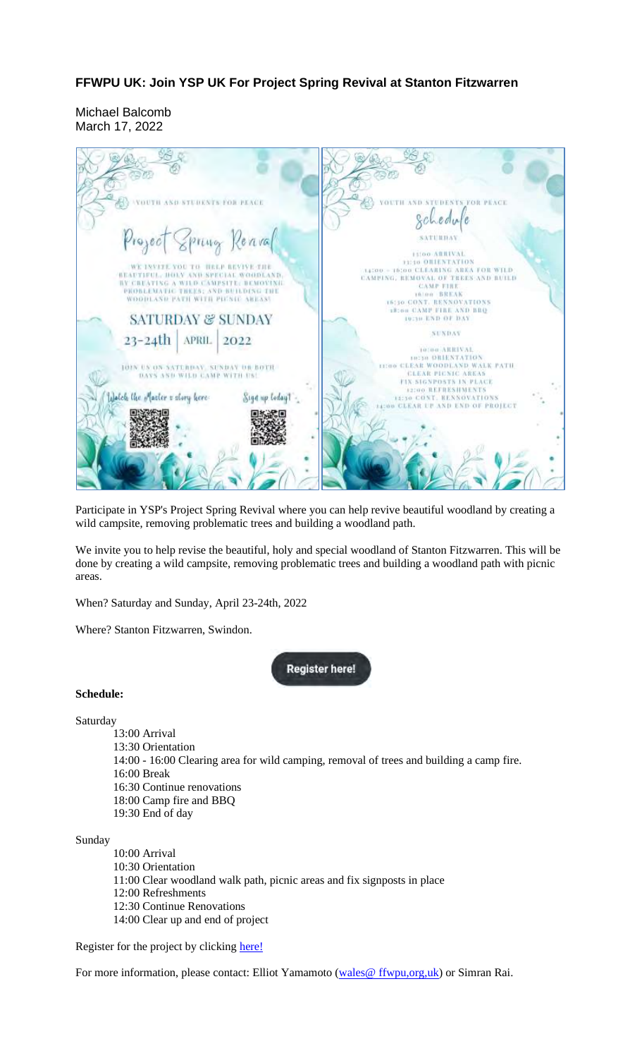## **FFWPU UK: Join YSP UK For Project Spring Revival at Stanton Fitzwarren**

Michael Balcomb March 17, 2022



Participate in YSP's Project Spring Revival where you can help revive beautiful woodland by creating a wild campsite, removing problematic trees and building a woodland path.

We invite you to help revise the beautiful, holy and special woodland of Stanton Fitzwarren. This will be done by creating a wild campsite, removing problematic trees and building a woodland path with picnic areas.

When? Saturday and Sunday, April 23-24th, 2022

Where? Stanton Fitzwarren, Swindon.

**Register here!** 

## **Schedule:**

Saturday

13:00 Arrival 13:30 Orientation 14:00 - 16:00 Clearing area for wild camping, removal of trees and building a camp fire. 16:00 Break 16:30 Continue renovations 18:00 Camp fire and BBQ 19:30 End of day

Sunday

10:00 Arrival 10:30 Orientation 11:00 Clear woodland walk path, picnic areas and fix signposts in place 12:00 Refreshments 12:30 Continue Renovations 14:00 Clear up and end of project

Register for the project by clicking here!

For more information, please contact: Elliot Yamamoto (wales@ ffwpu,org,uk) or Simran Rai.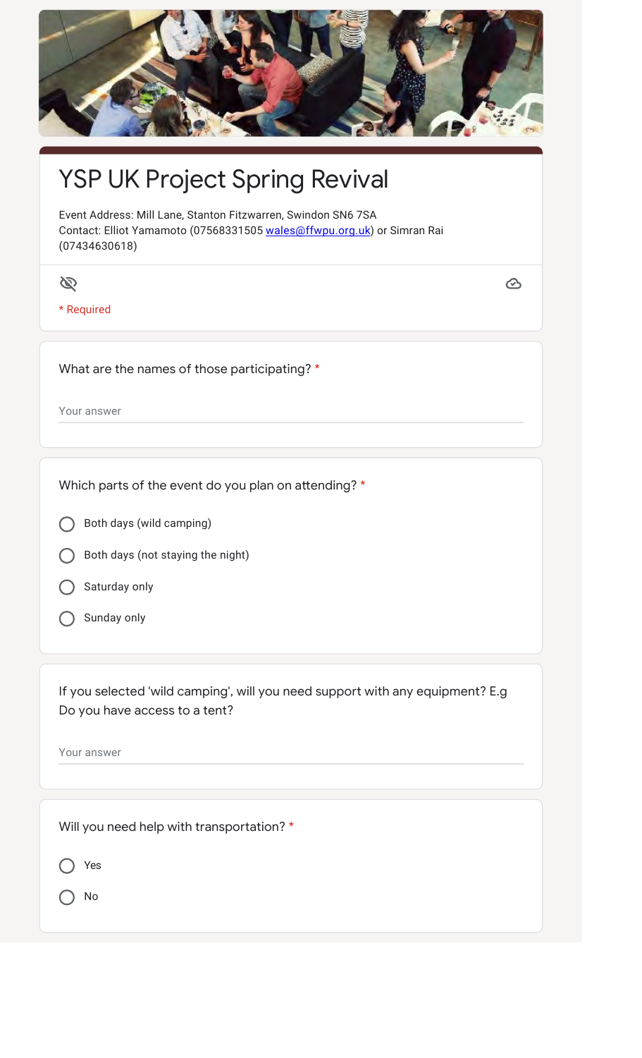

## YSP UK Project Spring Revival

Event Address: Mill Lane, Stanton Fitzwarren, Swindon SN6 7SA Contact: Elliot Yamamoto (07568331505 wales@ffwpu.org.uk) or Simran Rai (07434630618)

 $\mathscr{D}$ 

\* Required

 $\odot$ 

What are the names of those participating? \*

Your answer

Which parts of the event do you plan on attending? \*

Both days (wild camping)

- Both days (not staying the night)
- Saturday only
- Sunday only

If you selected 'wild camping', will you need support with any equipment? E.g Do you have access to a tent?

Your answer

Will you need help with transportation? \*

◯ Yes

O No